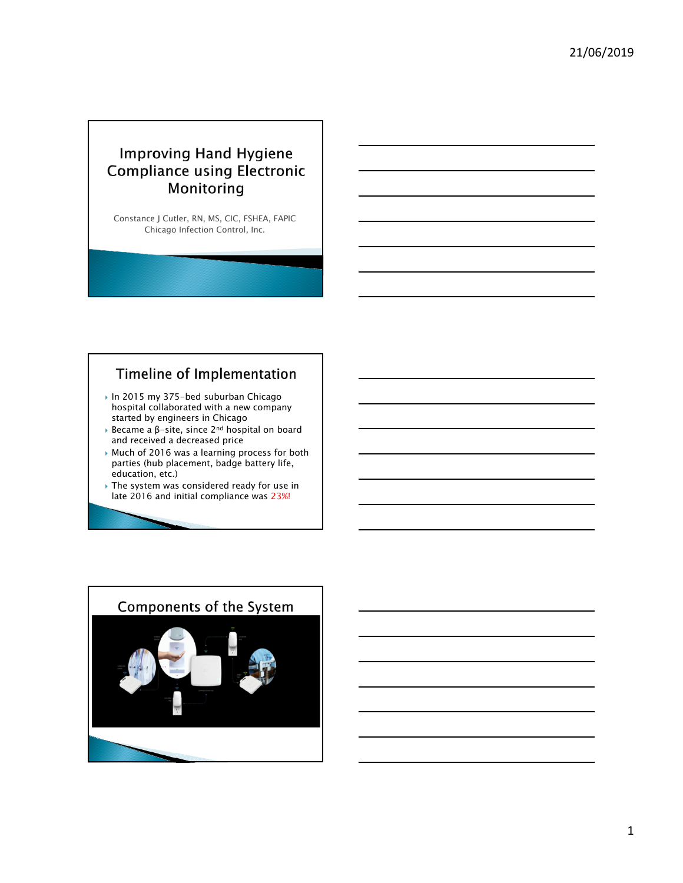## **Improving Hand Hygiene Compliance using Electronic** Monitoring

Constance J Cutler, RN, MS, CIC, FSHEA, FAPIC Chicago Infection Control, Inc.

## Timeline of Implementation

- ▶ In 2015 my 375-bed suburban Chicago hospital collaborated with a new company started by engineers in Chicago
- Became a  $\beta$ -site, since 2<sup>nd</sup> hospital on board and received a decreased price
- Much of 2016 was a learning process for both parties (hub placement, badge battery life, education, etc.)
- ▶ The system was considered ready for use in late 2016 and initial compliance was 23%!

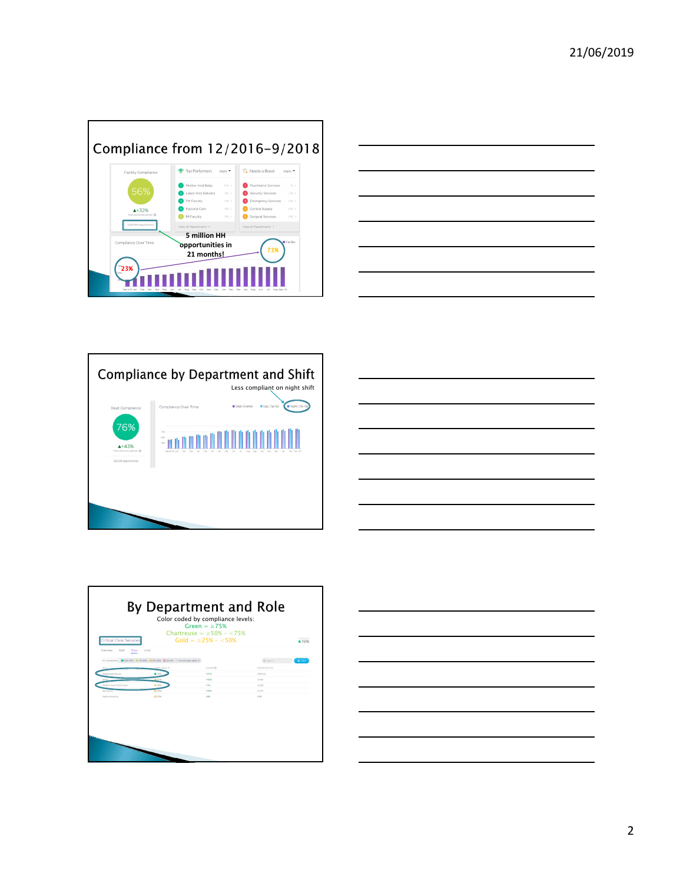









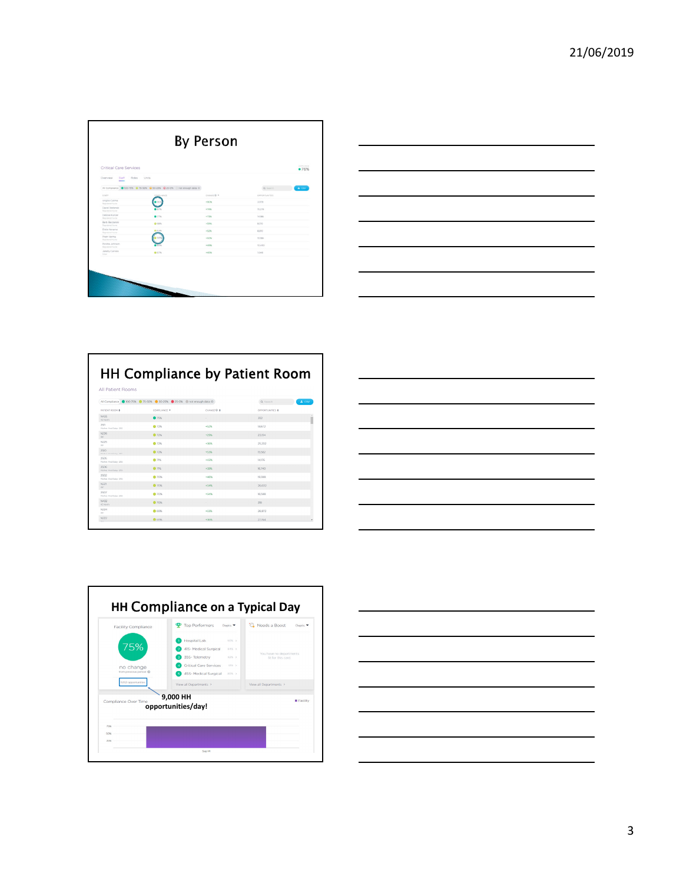|                                                   |                                                                        | <b>By Person</b> |                          |  |
|---------------------------------------------------|------------------------------------------------------------------------|------------------|--------------------------|--|
| Critical Care Services                            |                                                                        |                  | <b>COMMUNICA</b><br>•76% |  |
| Roles<br>Overview<br>Staff<br>-                   | Units                                                                  |                  |                          |  |
|                                                   | All Compliance @ 100-75% @ 75-50% @ 50-25% @ 25-0% C not enough data @ |                  | A CIV<br>Q Salesh        |  |
| <b>STARR</b>                                      | <b>COMPLIANCE</b>                                                      | DANIE @ *        | <b>CIPPORTURETIES</b>    |  |
| <b>Virgilia Calima</b><br><b>Permitted Trungs</b> |                                                                        | $+90%$           | 3,978                    |  |
| David Stefanski<br>Reportered North               |                                                                        | $+745$           | 15,274                   |  |
| Debbie Kunzer<br><b>Registered Faurup</b>         | $-77%$                                                                 | $+72N$           | 14, 1865                 |  |
| Baro Baczanski<br><b>Registered Nurse</b>         | <b>Q</b> date                                                          | $+5296$          | 8,510                    |  |
| Elidia Nevarez<br><b>Financial Score</b>          | <b>G</b> 64%                                                           | $+52%$           | 8,810                    |  |
| Pram Uerma<br>Registered Nutze                    | 1573                                                                   | $+50%$           | 10,185                   |  |
| Porsha Johnson<br>Texts interest Tourist          |                                                                        | $+43%$           | 10.450                   |  |
| Janely Carrera<br>Miller.                         | 0.67%                                                                  | $+4576$          | 1.048                    |  |
|                                                   |                                                                        |                  |                          |  |
|                                                   |                                                                        |                  |                          |  |
|                                                   |                                                                        |                  |                          |  |

| ____                        |
|-----------------------------|
|                             |
| and the control of the con- |
|                             |
| ___                         |
|                             |
|                             |

|                                | <b>HH Compliance by Patient Room</b>                                     |                     |                             |  |  |  |
|--------------------------------|--------------------------------------------------------------------------|---------------------|-----------------------------|--|--|--|
| All Patient Rooms              |                                                                          |                     |                             |  |  |  |
|                                | All Compliance ( 100-75% ( 75-50% ( 50-25% ( 25-0% ( not enough data ( ) |                     | $\triangle$ CSV<br>Q Search |  |  |  |
| PATIENT ROOM &                 | CONFLIANCE *                                                             | CHANGE <sub>®</sub> | OPPORTUNITIES &             |  |  |  |
| N435<br>43 North               | •75%                                                                     | $\sim$              | 352                         |  |  |  |
| 2511<br>Mother And Baby-255    | ● 72%                                                                    | $+52%$              | 14.672                      |  |  |  |
| N226<br><b>SOF</b>             | ● 72%                                                                    | $+2906$             | 23154                       |  |  |  |
| N225<br>100                    | 272%                                                                     | $+7676$             | 25,202                      |  |  |  |
| 2510<br>Mother And Datas, 1935 | <b>C</b> 72%                                                             | +53%                | 15,582                      |  |  |  |
| 2505<br>Mother And Baby: 255   | <b>8 71%</b>                                                             | $+4.3\%$            | 14.176                      |  |  |  |
| 2506<br>Mother And Baby-255    | <b>C</b> 71%                                                             | $+38%$              | 16,740                      |  |  |  |
| 2502<br>Mother And Date: 255   | @ 70%                                                                    | $+46%$              | 19.398                      |  |  |  |
| N221<br><b>COL</b>             | @ 70%                                                                    | +3.6%               | 26,602                      |  |  |  |
| 2507<br>Mother And Baby-255    | @ 70%                                                                    | $+3.6\%$            | 16.598                      |  |  |  |
| N432<br>43 North               | <b>C</b> 70%                                                             | a.                  | 310                         |  |  |  |
| N224<br>se.                    | @ KOYK                                                                   | $+3356$             | 26,872                      |  |  |  |
| N222                           | <b>B</b> 69%                                                             | $+36%$              | 27.744                      |  |  |  |